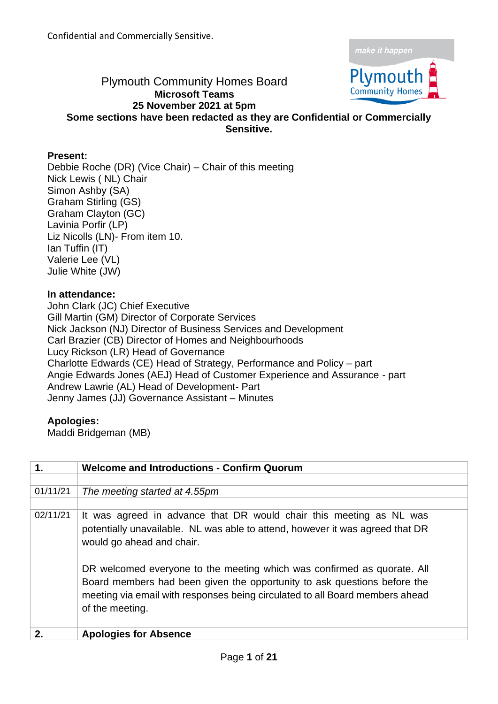

## Plymouth Community Homes Board **Microsoft Teams 25 November 2021 at 5pm Some sections have been redacted as they are Confidential or Commercially**

**Sensitive.** 

## **Present:**

Debbie Roche (DR) (Vice Chair) – Chair of this meeting Nick Lewis ( NL) Chair Simon Ashby (SA) Graham Stirling (GS) Graham Clayton (GC) Lavinia Porfir (LP) Liz Nicolls (LN)- From item 10. Ian Tuffin (IT) Valerie Lee (VL) Julie White (JW)

## **In attendance:**

John Clark (JC) Chief Executive Gill Martin (GM) Director of Corporate Services Nick Jackson (NJ) Director of Business Services and Development Carl Brazier (CB) Director of Homes and Neighbourhoods Lucy Rickson (LR) Head of Governance Charlotte Edwards (CE) Head of Strategy, Performance and Policy – part Angie Edwards Jones (AEJ) Head of Customer Experience and Assurance - part Andrew Lawrie (AL) Head of Development- Part Jenny James (JJ) Governance Assistant – Minutes

## **Apologies:**

Maddi Bridgeman (MB)

| 1.       | <b>Welcome and Introductions - Confirm Quorum</b>                                                                                                                                                                                                      |  |
|----------|--------------------------------------------------------------------------------------------------------------------------------------------------------------------------------------------------------------------------------------------------------|--|
|          |                                                                                                                                                                                                                                                        |  |
| 01/11/21 | The meeting started at 4.55pm                                                                                                                                                                                                                          |  |
|          |                                                                                                                                                                                                                                                        |  |
| 02/11/21 | It was agreed in advance that DR would chair this meeting as NL was<br>potentially unavailable. NL was able to attend, however it was agreed that DR<br>would go ahead and chair.                                                                      |  |
|          | DR welcomed everyone to the meeting which was confirmed as quorate. All<br>Board members had been given the opportunity to ask questions before the<br>meeting via email with responses being circulated to all Board members ahead<br>of the meeting. |  |
|          |                                                                                                                                                                                                                                                        |  |
| 2.       | <b>Apologies for Absence</b>                                                                                                                                                                                                                           |  |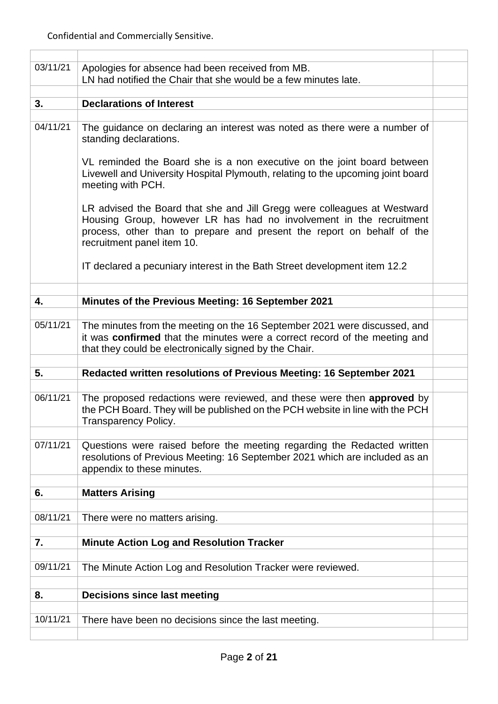| 03/11/21 | Apologies for absence had been received from MB.<br>LN had notified the Chair that she would be a few minutes late.                                                                                                                                     |  |
|----------|---------------------------------------------------------------------------------------------------------------------------------------------------------------------------------------------------------------------------------------------------------|--|
|          |                                                                                                                                                                                                                                                         |  |
| 3.       | <b>Declarations of Interest</b>                                                                                                                                                                                                                         |  |
|          |                                                                                                                                                                                                                                                         |  |
| 04/11/21 | The guidance on declaring an interest was noted as there were a number of<br>standing declarations.                                                                                                                                                     |  |
|          | VL reminded the Board she is a non executive on the joint board between<br>Livewell and University Hospital Plymouth, relating to the upcoming joint board<br>meeting with PCH.                                                                         |  |
|          | LR advised the Board that she and Jill Gregg were colleagues at Westward<br>Housing Group, however LR has had no involvement in the recruitment<br>process, other than to prepare and present the report on behalf of the<br>recruitment panel item 10. |  |
|          | IT declared a pecuniary interest in the Bath Street development item 12.2                                                                                                                                                                               |  |
|          |                                                                                                                                                                                                                                                         |  |
| 4.       | Minutes of the Previous Meeting: 16 September 2021                                                                                                                                                                                                      |  |
|          |                                                                                                                                                                                                                                                         |  |
| 05/11/21 | The minutes from the meeting on the 16 September 2021 were discussed, and<br>it was confirmed that the minutes were a correct record of the meeting and<br>that they could be electronically signed by the Chair.                                       |  |
|          |                                                                                                                                                                                                                                                         |  |
| 5.       | Redacted written resolutions of Previous Meeting: 16 September 2021                                                                                                                                                                                     |  |
|          |                                                                                                                                                                                                                                                         |  |
| 06/11/21 | The proposed redactions were reviewed, and these were then approved by<br>the PCH Board. They will be published on the PCH website in line with the PCH<br><b>Transparency Policy.</b>                                                                  |  |
|          |                                                                                                                                                                                                                                                         |  |
| 07/11/21 | Questions were raised before the meeting regarding the Redacted written<br>resolutions of Previous Meeting: 16 September 2021 which are included as an<br>appendix to these minutes.                                                                    |  |
|          |                                                                                                                                                                                                                                                         |  |
| 6.       | <b>Matters Arising</b>                                                                                                                                                                                                                                  |  |
|          |                                                                                                                                                                                                                                                         |  |
| 08/11/21 | There were no matters arising.                                                                                                                                                                                                                          |  |
|          |                                                                                                                                                                                                                                                         |  |
| 7.       | <b>Minute Action Log and Resolution Tracker</b>                                                                                                                                                                                                         |  |
|          |                                                                                                                                                                                                                                                         |  |
| 09/11/21 | The Minute Action Log and Resolution Tracker were reviewed.                                                                                                                                                                                             |  |
|          |                                                                                                                                                                                                                                                         |  |
|          |                                                                                                                                                                                                                                                         |  |
| 8.       | <b>Decisions since last meeting</b>                                                                                                                                                                                                                     |  |
|          |                                                                                                                                                                                                                                                         |  |
| 10/11/21 | There have been no decisions since the last meeting.                                                                                                                                                                                                    |  |
|          |                                                                                                                                                                                                                                                         |  |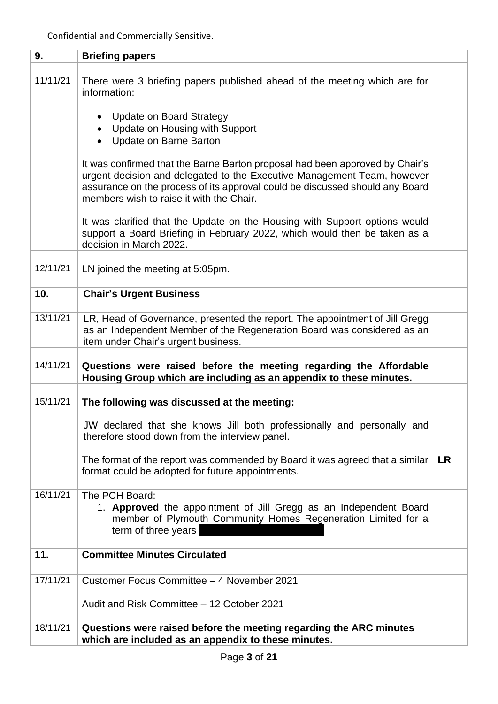| 9.       | <b>Briefing papers</b>                                                                                                                                                                                                                                                              |           |
|----------|-------------------------------------------------------------------------------------------------------------------------------------------------------------------------------------------------------------------------------------------------------------------------------------|-----------|
|          |                                                                                                                                                                                                                                                                                     |           |
| 11/11/21 | There were 3 briefing papers published ahead of the meeting which are for<br>information:                                                                                                                                                                                           |           |
|          | Update on Board Strategy<br>Update on Housing with Support<br>$\bullet$<br>Update on Barne Barton<br>$\bullet$                                                                                                                                                                      |           |
|          | It was confirmed that the Barne Barton proposal had been approved by Chair's<br>urgent decision and delegated to the Executive Management Team, however<br>assurance on the process of its approval could be discussed should any Board<br>members wish to raise it with the Chair. |           |
|          | It was clarified that the Update on the Housing with Support options would<br>support a Board Briefing in February 2022, which would then be taken as a<br>decision in March 2022.                                                                                                  |           |
| 12/11/21 |                                                                                                                                                                                                                                                                                     |           |
|          | LN joined the meeting at 5:05pm.                                                                                                                                                                                                                                                    |           |
| 10.      |                                                                                                                                                                                                                                                                                     |           |
|          | <b>Chair's Urgent Business</b>                                                                                                                                                                                                                                                      |           |
| 13/11/21 | LR, Head of Governance, presented the report. The appointment of Jill Gregg<br>as an Independent Member of the Regeneration Board was considered as an<br>item under Chair's urgent business.                                                                                       |           |
| 14/11/21 | Questions were raised before the meeting regarding the Affordable<br>Housing Group which are including as an appendix to these minutes.                                                                                                                                             |           |
|          |                                                                                                                                                                                                                                                                                     |           |
| 15/11/21 | The following was discussed at the meeting:                                                                                                                                                                                                                                         |           |
|          | JW declared that she knows Jill both professionally and personally and<br>therefore stood down from the interview panel.                                                                                                                                                            |           |
|          | The format of the report was commended by Board it was agreed that a similar<br>format could be adopted for future appointments.                                                                                                                                                    | <b>LR</b> |
|          |                                                                                                                                                                                                                                                                                     |           |
| 16/11/21 | The PCH Board:<br>1. Approved the appointment of Jill Gregg as an Independent Board<br>member of Plymouth Community Homes Regeneration Limited for a<br>term of three years                                                                                                         |           |
|          |                                                                                                                                                                                                                                                                                     |           |
| 11.      | <b>Committee Minutes Circulated</b>                                                                                                                                                                                                                                                 |           |
|          |                                                                                                                                                                                                                                                                                     |           |
| 17/11/21 | Customer Focus Committee - 4 November 2021                                                                                                                                                                                                                                          |           |
|          | Audit and Risk Committee - 12 October 2021                                                                                                                                                                                                                                          |           |
|          |                                                                                                                                                                                                                                                                                     |           |
| 18/11/21 | Questions were raised before the meeting regarding the ARC minutes<br>which are included as an appendix to these minutes.                                                                                                                                                           |           |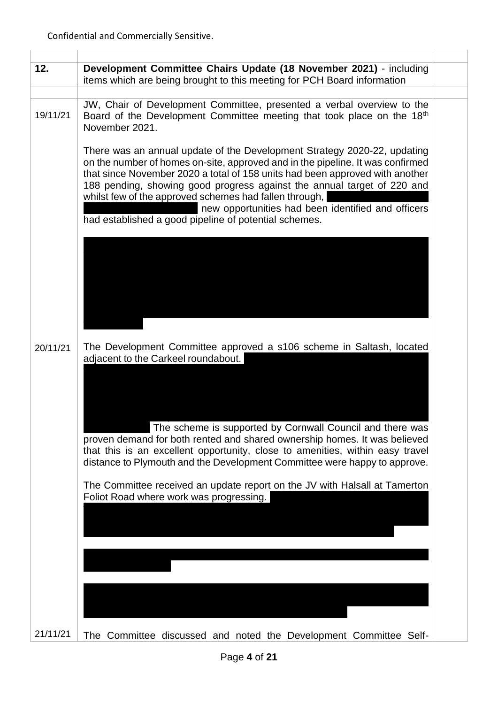$\overline{1}$ 

т

| 12.      | Development Committee Chairs Update (18 November 2021) - including<br>items which are being brought to this meeting for PCH Board information                                                                                                                                                                                                                                                                                                                                                  |  |
|----------|------------------------------------------------------------------------------------------------------------------------------------------------------------------------------------------------------------------------------------------------------------------------------------------------------------------------------------------------------------------------------------------------------------------------------------------------------------------------------------------------|--|
|          |                                                                                                                                                                                                                                                                                                                                                                                                                                                                                                |  |
| 19/11/21 | JW, Chair of Development Committee, presented a verbal overview to the<br>Board of the Development Committee meeting that took place on the 18th<br>November 2021.                                                                                                                                                                                                                                                                                                                             |  |
|          | There was an annual update of the Development Strategy 2020-22, updating<br>on the number of homes on-site, approved and in the pipeline. It was confirmed<br>that since November 2020 a total of 158 units had been approved with another<br>188 pending, showing good progress against the annual target of 220 and<br>whilst few of the approved schemes had fallen through,<br>new opportunities had been identified and officers<br>had established a good pipeline of potential schemes. |  |
|          |                                                                                                                                                                                                                                                                                                                                                                                                                                                                                                |  |
| 20/11/21 | The Development Committee approved a s106 scheme in Saltash, located<br>adjacent to the Carkeel roundabout.                                                                                                                                                                                                                                                                                                                                                                                    |  |
|          | The scheme is supported by Cornwall Council and there was<br>proven demand for both rented and shared ownership homes. It was believed<br>that this is an excellent opportunity, close to amenities, within easy travel<br>distance to Plymouth and the Development Committee were happy to approve.                                                                                                                                                                                           |  |
|          | The Committee received an update report on the JV with Halsall at Tamerton<br>Foliot Road where work was progressing.                                                                                                                                                                                                                                                                                                                                                                          |  |
|          |                                                                                                                                                                                                                                                                                                                                                                                                                                                                                                |  |
|          |                                                                                                                                                                                                                                                                                                                                                                                                                                                                                                |  |
|          |                                                                                                                                                                                                                                                                                                                                                                                                                                                                                                |  |
|          |                                                                                                                                                                                                                                                                                                                                                                                                                                                                                                |  |
| 21/11/21 | The Committee discussed and noted the Development Committee Self-                                                                                                                                                                                                                                                                                                                                                                                                                              |  |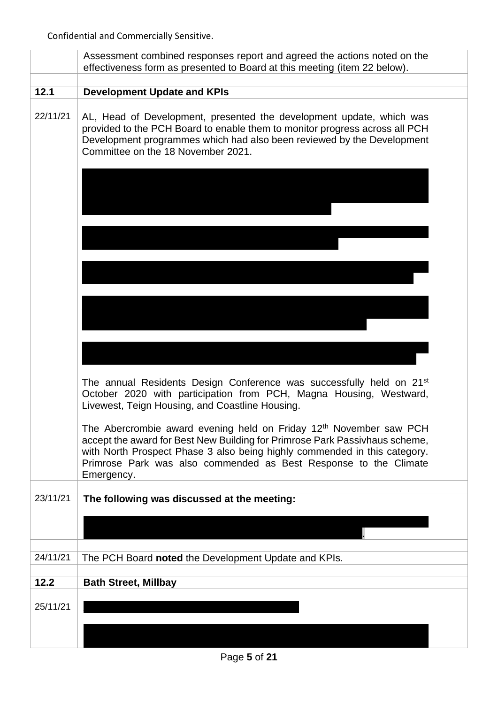|          | Assessment combined responses report and agreed the actions noted on the<br>effectiveness form as presented to Board at this meeting (item 22 below).                                                                                                                                                                        |  |
|----------|------------------------------------------------------------------------------------------------------------------------------------------------------------------------------------------------------------------------------------------------------------------------------------------------------------------------------|--|
|          |                                                                                                                                                                                                                                                                                                                              |  |
| 12.1     | <b>Development Update and KPIs</b>                                                                                                                                                                                                                                                                                           |  |
| 22/11/21 | AL, Head of Development, presented the development update, which was<br>provided to the PCH Board to enable them to monitor progress across all PCH<br>Development programmes which had also been reviewed by the Development<br>Committee on the 18 November 2021.                                                          |  |
|          |                                                                                                                                                                                                                                                                                                                              |  |
|          |                                                                                                                                                                                                                                                                                                                              |  |
|          |                                                                                                                                                                                                                                                                                                                              |  |
|          |                                                                                                                                                                                                                                                                                                                              |  |
|          |                                                                                                                                                                                                                                                                                                                              |  |
|          | The annual Residents Design Conference was successfully held on 21 <sup>st</sup><br>October 2020 with participation from PCH, Magna Housing, Westward,<br>Livewest, Teign Housing, and Coastline Housing.                                                                                                                    |  |
|          | The Abercrombie award evening held on Friday 12 <sup>th</sup> November saw PCH<br>accept the award for Best New Building for Primrose Park Passivhaus scheme,<br>with North Prospect Phase 3 also being highly commended in this category.<br>Primrose Park was also commended as Best Response to the Climate<br>Emergency. |  |
| 23/11/21 | The following was discussed at the meeting:                                                                                                                                                                                                                                                                                  |  |
|          |                                                                                                                                                                                                                                                                                                                              |  |
| 24/11/21 |                                                                                                                                                                                                                                                                                                                              |  |
|          | The PCH Board noted the Development Update and KPIs.                                                                                                                                                                                                                                                                         |  |
| 12.2     | <b>Bath Street, Millbay</b>                                                                                                                                                                                                                                                                                                  |  |
|          |                                                                                                                                                                                                                                                                                                                              |  |
| 25/11/21 |                                                                                                                                                                                                                                                                                                                              |  |
|          |                                                                                                                                                                                                                                                                                                                              |  |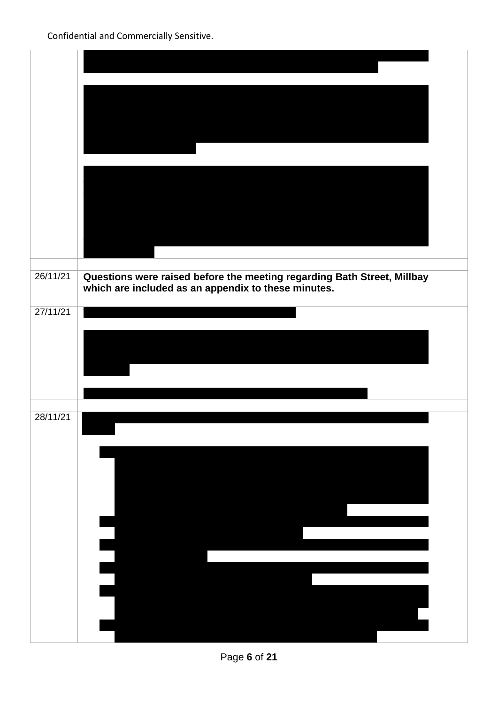| 26/11/21 | Questions were raised before the meeting regarding Bath Street, Millbay<br>which are included as an appendix to these minutes. |  |
|----------|--------------------------------------------------------------------------------------------------------------------------------|--|
| 27/11/21 |                                                                                                                                |  |
|          |                                                                                                                                |  |
|          |                                                                                                                                |  |
| 28/11/21 |                                                                                                                                |  |
|          |                                                                                                                                |  |
|          |                                                                                                                                |  |
|          |                                                                                                                                |  |
|          |                                                                                                                                |  |
|          |                                                                                                                                |  |
|          |                                                                                                                                |  |
|          |                                                                                                                                |  |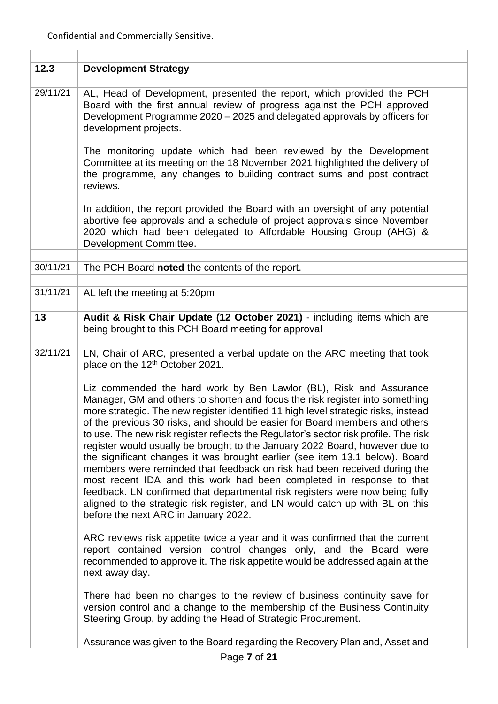| 12.3     | <b>Development Strategy</b>                                                                                                                                                                                                                                                                                                                                                                                                                                                                                                                                                                                                                                                                                                                                                                                                                                                                                                                                                                                                                                                                                                                                                                                                                                                                                                                                                                                                                                                                                                                          |  |
|----------|------------------------------------------------------------------------------------------------------------------------------------------------------------------------------------------------------------------------------------------------------------------------------------------------------------------------------------------------------------------------------------------------------------------------------------------------------------------------------------------------------------------------------------------------------------------------------------------------------------------------------------------------------------------------------------------------------------------------------------------------------------------------------------------------------------------------------------------------------------------------------------------------------------------------------------------------------------------------------------------------------------------------------------------------------------------------------------------------------------------------------------------------------------------------------------------------------------------------------------------------------------------------------------------------------------------------------------------------------------------------------------------------------------------------------------------------------------------------------------------------------------------------------------------------------|--|
| 29/11/21 | AL, Head of Development, presented the report, which provided the PCH<br>Board with the first annual review of progress against the PCH approved<br>Development Programme 2020 - 2025 and delegated approvals by officers for<br>development projects.                                                                                                                                                                                                                                                                                                                                                                                                                                                                                                                                                                                                                                                                                                                                                                                                                                                                                                                                                                                                                                                                                                                                                                                                                                                                                               |  |
|          | The monitoring update which had been reviewed by the Development<br>Committee at its meeting on the 18 November 2021 highlighted the delivery of<br>the programme, any changes to building contract sums and post contract<br>reviews.                                                                                                                                                                                                                                                                                                                                                                                                                                                                                                                                                                                                                                                                                                                                                                                                                                                                                                                                                                                                                                                                                                                                                                                                                                                                                                               |  |
|          | In addition, the report provided the Board with an oversight of any potential<br>abortive fee approvals and a schedule of project approvals since November<br>2020 which had been delegated to Affordable Housing Group (AHG) &<br>Development Committee.                                                                                                                                                                                                                                                                                                                                                                                                                                                                                                                                                                                                                                                                                                                                                                                                                                                                                                                                                                                                                                                                                                                                                                                                                                                                                            |  |
| 30/11/21 | The PCH Board noted the contents of the report.                                                                                                                                                                                                                                                                                                                                                                                                                                                                                                                                                                                                                                                                                                                                                                                                                                                                                                                                                                                                                                                                                                                                                                                                                                                                                                                                                                                                                                                                                                      |  |
|          |                                                                                                                                                                                                                                                                                                                                                                                                                                                                                                                                                                                                                                                                                                                                                                                                                                                                                                                                                                                                                                                                                                                                                                                                                                                                                                                                                                                                                                                                                                                                                      |  |
| 31/11/21 | AL left the meeting at 5:20pm                                                                                                                                                                                                                                                                                                                                                                                                                                                                                                                                                                                                                                                                                                                                                                                                                                                                                                                                                                                                                                                                                                                                                                                                                                                                                                                                                                                                                                                                                                                        |  |
|          |                                                                                                                                                                                                                                                                                                                                                                                                                                                                                                                                                                                                                                                                                                                                                                                                                                                                                                                                                                                                                                                                                                                                                                                                                                                                                                                                                                                                                                                                                                                                                      |  |
| 13       | Audit & Risk Chair Update (12 October 2021) - including items which are<br>being brought to this PCH Board meeting for approval                                                                                                                                                                                                                                                                                                                                                                                                                                                                                                                                                                                                                                                                                                                                                                                                                                                                                                                                                                                                                                                                                                                                                                                                                                                                                                                                                                                                                      |  |
| 32/11/21 | LN, Chair of ARC, presented a verbal update on the ARC meeting that took<br>place on the 12 <sup>th</sup> October 2021.<br>Liz commended the hard work by Ben Lawlor (BL), Risk and Assurance<br>Manager, GM and others to shorten and focus the risk register into something<br>more strategic. The new register identified 11 high level strategic risks, instead<br>of the previous 30 risks, and should be easier for Board members and others<br>to use. The new risk register reflects the Regulator's sector risk profile. The risk<br>register would usually be brought to the January 2022 Board, however due to<br>the significant changes it was brought earlier (see item 13.1 below). Board<br>members were reminded that feedback on risk had been received during the<br>most recent IDA and this work had been completed in response to that<br>feedback. LN confirmed that departmental risk registers were now being fully<br>aligned to the strategic risk register, and LN would catch up with BL on this<br>before the next ARC in January 2022.<br>ARC reviews risk appetite twice a year and it was confirmed that the current<br>report contained version control changes only, and the Board were<br>recommended to approve it. The risk appetite would be addressed again at the<br>next away day.<br>There had been no changes to the review of business continuity save for<br>version control and a change to the membership of the Business Continuity<br>Steering Group, by adding the Head of Strategic Procurement. |  |
|          | Assurance was given to the Board regarding the Recovery Plan and, Asset and                                                                                                                                                                                                                                                                                                                                                                                                                                                                                                                                                                                                                                                                                                                                                                                                                                                                                                                                                                                                                                                                                                                                                                                                                                                                                                                                                                                                                                                                          |  |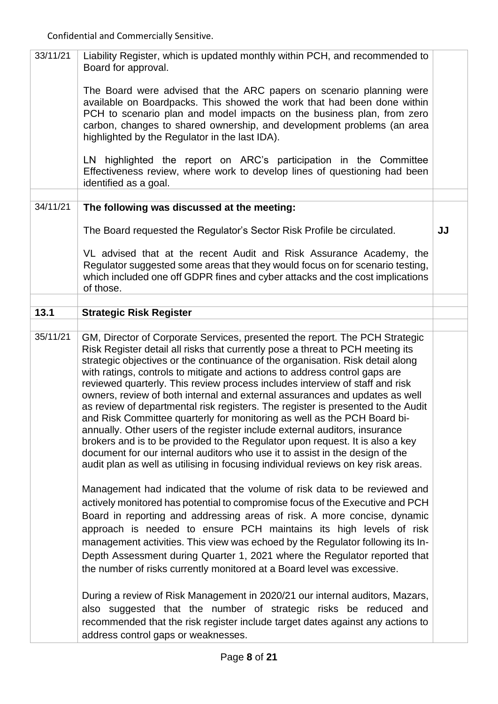| 33/11/21 | Liability Register, which is updated monthly within PCH, and recommended to<br>Board for approval.                                                                                                                                                                                                                                                                                                                                                                                                                                                                                                                                                                                                                                                                                                                                                                                                                                                                                               |    |
|----------|--------------------------------------------------------------------------------------------------------------------------------------------------------------------------------------------------------------------------------------------------------------------------------------------------------------------------------------------------------------------------------------------------------------------------------------------------------------------------------------------------------------------------------------------------------------------------------------------------------------------------------------------------------------------------------------------------------------------------------------------------------------------------------------------------------------------------------------------------------------------------------------------------------------------------------------------------------------------------------------------------|----|
|          | The Board were advised that the ARC papers on scenario planning were<br>available on Boardpacks. This showed the work that had been done within<br>PCH to scenario plan and model impacts on the business plan, from zero<br>carbon, changes to shared ownership, and development problems (an area<br>highlighted by the Regulator in the last IDA).                                                                                                                                                                                                                                                                                                                                                                                                                                                                                                                                                                                                                                            |    |
|          | LN highlighted the report on ARC's participation in the Committee<br>Effectiveness review, where work to develop lines of questioning had been<br>identified as a goal.                                                                                                                                                                                                                                                                                                                                                                                                                                                                                                                                                                                                                                                                                                                                                                                                                          |    |
| 34/11/21 | The following was discussed at the meeting:                                                                                                                                                                                                                                                                                                                                                                                                                                                                                                                                                                                                                                                                                                                                                                                                                                                                                                                                                      |    |
|          |                                                                                                                                                                                                                                                                                                                                                                                                                                                                                                                                                                                                                                                                                                                                                                                                                                                                                                                                                                                                  |    |
|          | The Board requested the Regulator's Sector Risk Profile be circulated.                                                                                                                                                                                                                                                                                                                                                                                                                                                                                                                                                                                                                                                                                                                                                                                                                                                                                                                           | JJ |
|          | VL advised that at the recent Audit and Risk Assurance Academy, the<br>Regulator suggested some areas that they would focus on for scenario testing,<br>which included one off GDPR fines and cyber attacks and the cost implications<br>of those.                                                                                                                                                                                                                                                                                                                                                                                                                                                                                                                                                                                                                                                                                                                                               |    |
| 13.1     | <b>Strategic Risk Register</b>                                                                                                                                                                                                                                                                                                                                                                                                                                                                                                                                                                                                                                                                                                                                                                                                                                                                                                                                                                   |    |
|          |                                                                                                                                                                                                                                                                                                                                                                                                                                                                                                                                                                                                                                                                                                                                                                                                                                                                                                                                                                                                  |    |
| 35/11/21 | GM, Director of Corporate Services, presented the report. The PCH Strategic<br>Risk Register detail all risks that currently pose a threat to PCH meeting its<br>strategic objectives or the continuance of the organisation. Risk detail along<br>with ratings, controls to mitigate and actions to address control gaps are<br>reviewed quarterly. This review process includes interview of staff and risk<br>owners, review of both internal and external assurances and updates as well<br>as review of departmental risk registers. The register is presented to the Audit<br>and Risk Committee quarterly for monitoring as well as the PCH Board bi-<br>annually. Other users of the register include external auditors, insurance<br>brokers and is to be provided to the Regulator upon request. It is also a key<br>document for our internal auditors who use it to assist in the design of the<br>audit plan as well as utilising in focusing individual reviews on key risk areas. |    |
|          | Management had indicated that the volume of risk data to be reviewed and<br>actively monitored has potential to compromise focus of the Executive and PCH<br>Board in reporting and addressing areas of risk. A more concise, dynamic<br>approach is needed to ensure PCH maintains its high levels of risk<br>management activities. This view was echoed by the Regulator following its In-<br>Depth Assessment during Quarter 1, 2021 where the Regulator reported that<br>the number of risks currently monitored at a Board level was excessive.                                                                                                                                                                                                                                                                                                                                                                                                                                            |    |
|          | During a review of Risk Management in 2020/21 our internal auditors, Mazars,<br>also suggested that the number of strategic risks be reduced and<br>recommended that the risk register include target dates against any actions to<br>address control gaps or weaknesses.                                                                                                                                                                                                                                                                                                                                                                                                                                                                                                                                                                                                                                                                                                                        |    |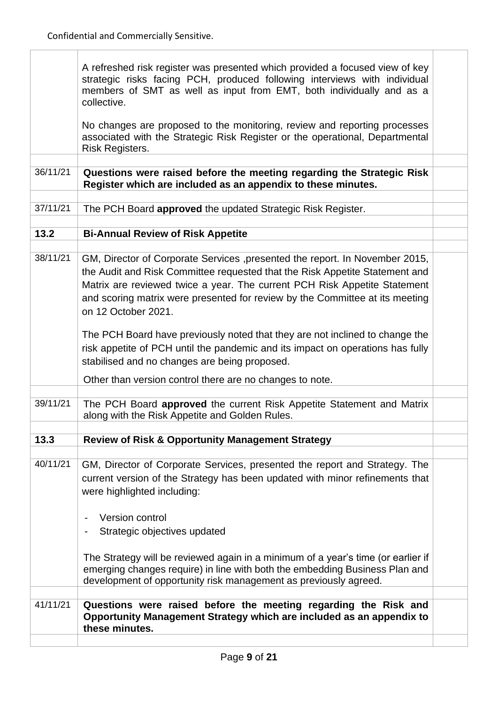$\overline{\phantom{a}}$ 

 $\overline{1}$ 

|          | A refreshed risk register was presented which provided a focused view of key<br>strategic risks facing PCH, produced following interviews with individual<br>members of SMT as well as input from EMT, both individually and as a<br>collective.                                                                                               |  |
|----------|------------------------------------------------------------------------------------------------------------------------------------------------------------------------------------------------------------------------------------------------------------------------------------------------------------------------------------------------|--|
|          | No changes are proposed to the monitoring, review and reporting processes<br>associated with the Strategic Risk Register or the operational, Departmental<br>Risk Registers.                                                                                                                                                                   |  |
| 36/11/21 | Questions were raised before the meeting regarding the Strategic Risk<br>Register which are included as an appendix to these minutes.                                                                                                                                                                                                          |  |
|          |                                                                                                                                                                                                                                                                                                                                                |  |
| 37/11/21 | The PCH Board approved the updated Strategic Risk Register.                                                                                                                                                                                                                                                                                    |  |
|          |                                                                                                                                                                                                                                                                                                                                                |  |
| 13.2     | <b>Bi-Annual Review of Risk Appetite</b>                                                                                                                                                                                                                                                                                                       |  |
| 38/11/21 | GM, Director of Corporate Services, presented the report. In November 2015,<br>the Audit and Risk Committee requested that the Risk Appetite Statement and<br>Matrix are reviewed twice a year. The current PCH Risk Appetite Statement<br>and scoring matrix were presented for review by the Committee at its meeting<br>on 12 October 2021. |  |
|          | The PCH Board have previously noted that they are not inclined to change the<br>risk appetite of PCH until the pandemic and its impact on operations has fully<br>stabilised and no changes are being proposed.                                                                                                                                |  |
|          | Other than version control there are no changes to note.                                                                                                                                                                                                                                                                                       |  |
| 39/11/21 | The PCH Board approved the current Risk Appetite Statement and Matrix<br>along with the Risk Appetite and Golden Rules.                                                                                                                                                                                                                        |  |
| 13.3     |                                                                                                                                                                                                                                                                                                                                                |  |
|          | <b>Review of Risk &amp; Opportunity Management Strategy</b>                                                                                                                                                                                                                                                                                    |  |
| 40/11/21 | GM, Director of Corporate Services, presented the report and Strategy. The<br>current version of the Strategy has been updated with minor refinements that<br>were highlighted including:                                                                                                                                                      |  |
|          | Version control<br>Strategic objectives updated                                                                                                                                                                                                                                                                                                |  |
|          | The Strategy will be reviewed again in a minimum of a year's time (or earlier if<br>emerging changes require) in line with both the embedding Business Plan and<br>development of opportunity risk management as previously agreed.                                                                                                            |  |
| 41/11/21 | Questions were raised before the meeting regarding the Risk and<br>Opportunity Management Strategy which are included as an appendix to<br>these minutes.                                                                                                                                                                                      |  |
|          |                                                                                                                                                                                                                                                                                                                                                |  |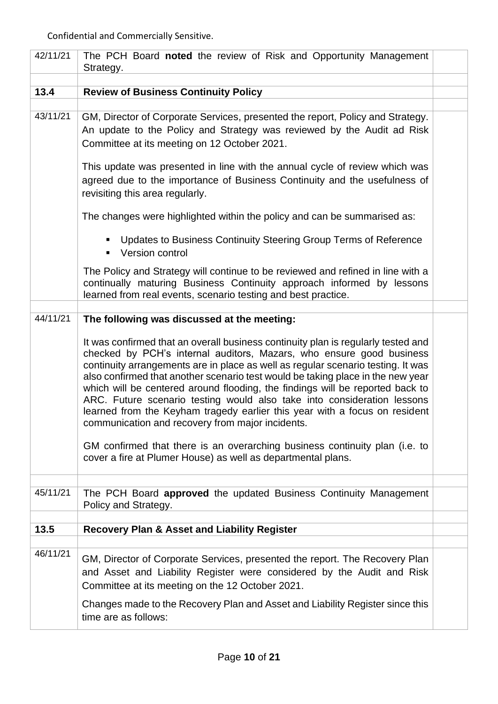| 42/11/21 | The PCH Board noted the review of Risk and Opportunity Management<br>Strategy.                                                                                                                                                                                                                                                                                                                                                                                                                                                                                                                                                                                                                                                                                                                                               |  |
|----------|------------------------------------------------------------------------------------------------------------------------------------------------------------------------------------------------------------------------------------------------------------------------------------------------------------------------------------------------------------------------------------------------------------------------------------------------------------------------------------------------------------------------------------------------------------------------------------------------------------------------------------------------------------------------------------------------------------------------------------------------------------------------------------------------------------------------------|--|
| 13.4     | <b>Review of Business Continuity Policy</b>                                                                                                                                                                                                                                                                                                                                                                                                                                                                                                                                                                                                                                                                                                                                                                                  |  |
|          |                                                                                                                                                                                                                                                                                                                                                                                                                                                                                                                                                                                                                                                                                                                                                                                                                              |  |
| 43/11/21 | GM, Director of Corporate Services, presented the report, Policy and Strategy.<br>An update to the Policy and Strategy was reviewed by the Audit ad Risk<br>Committee at its meeting on 12 October 2021.                                                                                                                                                                                                                                                                                                                                                                                                                                                                                                                                                                                                                     |  |
|          | This update was presented in line with the annual cycle of review which was<br>agreed due to the importance of Business Continuity and the usefulness of<br>revisiting this area regularly.                                                                                                                                                                                                                                                                                                                                                                                                                                                                                                                                                                                                                                  |  |
|          | The changes were highlighted within the policy and can be summarised as:                                                                                                                                                                                                                                                                                                                                                                                                                                                                                                                                                                                                                                                                                                                                                     |  |
|          | Updates to Business Continuity Steering Group Terms of Reference<br>п<br>Version control                                                                                                                                                                                                                                                                                                                                                                                                                                                                                                                                                                                                                                                                                                                                     |  |
|          | The Policy and Strategy will continue to be reviewed and refined in line with a<br>continually maturing Business Continuity approach informed by lessons<br>learned from real events, scenario testing and best practice.                                                                                                                                                                                                                                                                                                                                                                                                                                                                                                                                                                                                    |  |
|          |                                                                                                                                                                                                                                                                                                                                                                                                                                                                                                                                                                                                                                                                                                                                                                                                                              |  |
| 44/11/21 | The following was discussed at the meeting:<br>It was confirmed that an overall business continuity plan is regularly tested and<br>checked by PCH's internal auditors, Mazars, who ensure good business<br>continuity arrangements are in place as well as regular scenario testing. It was<br>also confirmed that another scenario test would be taking place in the new year<br>which will be centered around flooding, the findings will be reported back to<br>ARC. Future scenario testing would also take into consideration lessons<br>learned from the Keyham tragedy earlier this year with a focus on resident<br>communication and recovery from major incidents.<br>GM confirmed that there is an overarching business continuity plan (i.e. to<br>cover a fire at Plumer House) as well as departmental plans. |  |
| 45/11/21 | The PCH Board approved the updated Business Continuity Management<br>Policy and Strategy.                                                                                                                                                                                                                                                                                                                                                                                                                                                                                                                                                                                                                                                                                                                                    |  |
| 13.5     | <b>Recovery Plan &amp; Asset and Liability Register</b>                                                                                                                                                                                                                                                                                                                                                                                                                                                                                                                                                                                                                                                                                                                                                                      |  |
| 46/11/21 | GM, Director of Corporate Services, presented the report. The Recovery Plan<br>and Asset and Liability Register were considered by the Audit and Risk<br>Committee at its meeting on the 12 October 2021.                                                                                                                                                                                                                                                                                                                                                                                                                                                                                                                                                                                                                    |  |
|          | Changes made to the Recovery Plan and Asset and Liability Register since this<br>time are as follows:                                                                                                                                                                                                                                                                                                                                                                                                                                                                                                                                                                                                                                                                                                                        |  |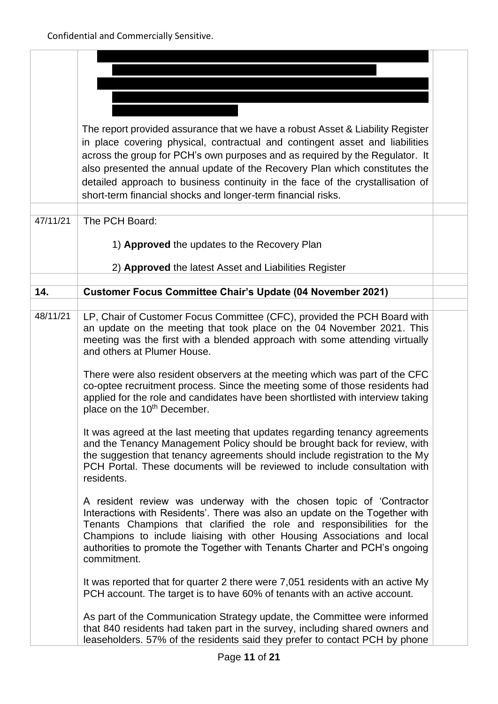|          | The report provided assurance that we have a robust Asset & Liability Register                                                                               |  |
|----------|--------------------------------------------------------------------------------------------------------------------------------------------------------------|--|
|          | in place covering physical, contractual and contingent asset and liabilities<br>across the group for PCH's own purposes and as required by the Regulator. It |  |
|          | also presented the annual update of the Recovery Plan which constitutes the                                                                                  |  |
|          | detailed approach to business continuity in the face of the crystallisation of                                                                               |  |
|          | short-term financial shocks and longer-term financial risks.                                                                                                 |  |
|          |                                                                                                                                                              |  |
| 47/11/21 | The PCH Board:                                                                                                                                               |  |
|          | 1) Approved the updates to the Recovery Plan                                                                                                                 |  |
|          |                                                                                                                                                              |  |
|          | 2) Approved the latest Asset and Liabilities Register                                                                                                        |  |
| 14.      | <b>Customer Focus Committee Chair's Update (04 November 2021)</b>                                                                                            |  |
|          |                                                                                                                                                              |  |
| 48/11/21 | LP, Chair of Customer Focus Committee (CFC), provided the PCH Board with                                                                                     |  |
|          | an update on the meeting that took place on the 04 November 2021. This<br>meeting was the first with a blended approach with some attending virtually        |  |
|          | and others at Plumer House.                                                                                                                                  |  |
|          | There were also resident observers at the meeting which was part of the CFC                                                                                  |  |
|          | co-optee recruitment process. Since the meeting some of those residents had                                                                                  |  |
|          | applied for the role and candidates have been shortlisted with interview taking<br>place on the 10 <sup>th</sup> December.                                   |  |
|          | It was agreed at the last meeting that updates regarding tenancy agreements                                                                                  |  |
|          | and the Tenancy Management Policy should be brought back for review, with                                                                                    |  |
|          | the suggestion that tenancy agreements should include registration to the My<br>PCH Portal. These documents will be reviewed to include consultation with    |  |
|          | residents.                                                                                                                                                   |  |
|          | A resident review was underway with the chosen topic of 'Contractor                                                                                          |  |
|          | Interactions with Residents'. There was also an update on the Together with                                                                                  |  |
|          | Tenants Champions that clarified the role and responsibilities for the<br>Champions to include liaising with other Housing Associations and local            |  |
|          | authorities to promote the Together with Tenants Charter and PCH's ongoing                                                                                   |  |
|          | commitment.                                                                                                                                                  |  |
|          | It was reported that for quarter 2 there were 7,051 residents with an active My                                                                              |  |
|          | PCH account. The target is to have 60% of tenants with an active account.                                                                                    |  |
|          | As part of the Communication Strategy update, the Committee were informed                                                                                    |  |
|          | that 840 residents had taken part in the survey, including shared owners and<br>leaseholders. 57% of the residents said they prefer to contact PCH by phone  |  |
|          |                                                                                                                                                              |  |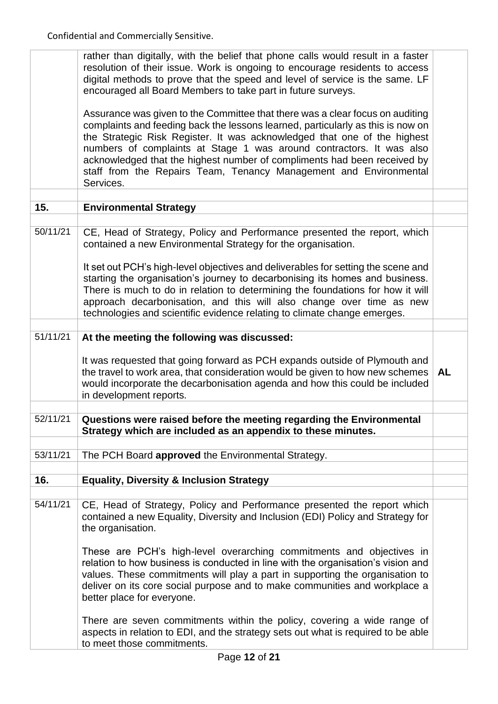|          | rather than digitally, with the belief that phone calls would result in a faster<br>resolution of their issue. Work is ongoing to encourage residents to access<br>digital methods to prove that the speed and level of service is the same. LF<br>encouraged all Board Members to take part in future surveys.                                                                                                                                                                    |           |
|----------|------------------------------------------------------------------------------------------------------------------------------------------------------------------------------------------------------------------------------------------------------------------------------------------------------------------------------------------------------------------------------------------------------------------------------------------------------------------------------------|-----------|
|          | Assurance was given to the Committee that there was a clear focus on auditing<br>complaints and feeding back the lessons learned, particularly as this is now on<br>the Strategic Risk Register. It was acknowledged that one of the highest<br>numbers of complaints at Stage 1 was around contractors. It was also<br>acknowledged that the highest number of compliments had been received by<br>staff from the Repairs Team, Tenancy Management and Environmental<br>Services. |           |
|          |                                                                                                                                                                                                                                                                                                                                                                                                                                                                                    |           |
| 15.      | <b>Environmental Strategy</b>                                                                                                                                                                                                                                                                                                                                                                                                                                                      |           |
| 50/11/21 | CE, Head of Strategy, Policy and Performance presented the report, which<br>contained a new Environmental Strategy for the organisation.                                                                                                                                                                                                                                                                                                                                           |           |
|          | It set out PCH's high-level objectives and deliverables for setting the scene and<br>starting the organisation's journey to decarbonising its homes and business.<br>There is much to do in relation to determining the foundations for how it will<br>approach decarbonisation, and this will also change over time as new<br>technologies and scientific evidence relating to climate change emerges.                                                                            |           |
|          |                                                                                                                                                                                                                                                                                                                                                                                                                                                                                    |           |
| 51/11/21 | At the meeting the following was discussed:                                                                                                                                                                                                                                                                                                                                                                                                                                        |           |
|          | It was requested that going forward as PCH expands outside of Plymouth and<br>the travel to work area, that consideration would be given to how new schemes<br>would incorporate the decarbonisation agenda and how this could be included<br>in development reports.                                                                                                                                                                                                              | <b>AL</b> |
|          |                                                                                                                                                                                                                                                                                                                                                                                                                                                                                    |           |
| 52/11/21 | Questions were raised before the meeting regarding the Environmental<br>Strategy which are included as an appendix to these minutes.                                                                                                                                                                                                                                                                                                                                               |           |
| 53/11/21 | The PCH Board approved the Environmental Strategy.                                                                                                                                                                                                                                                                                                                                                                                                                                 |           |
|          |                                                                                                                                                                                                                                                                                                                                                                                                                                                                                    |           |
| 16.      | <b>Equality, Diversity &amp; Inclusion Strategy</b>                                                                                                                                                                                                                                                                                                                                                                                                                                |           |
| 54/11/21 | CE, Head of Strategy, Policy and Performance presented the report which<br>contained a new Equality, Diversity and Inclusion (EDI) Policy and Strategy for<br>the organisation.                                                                                                                                                                                                                                                                                                    |           |
|          | These are PCH's high-level overarching commitments and objectives in<br>relation to how business is conducted in line with the organisation's vision and<br>values. These commitments will play a part in supporting the organisation to<br>deliver on its core social purpose and to make communities and workplace a<br>better place for everyone.                                                                                                                               |           |
|          | There are seven commitments within the policy, covering a wide range of<br>aspects in relation to EDI, and the strategy sets out what is required to be able<br>to meet those commitments.                                                                                                                                                                                                                                                                                         |           |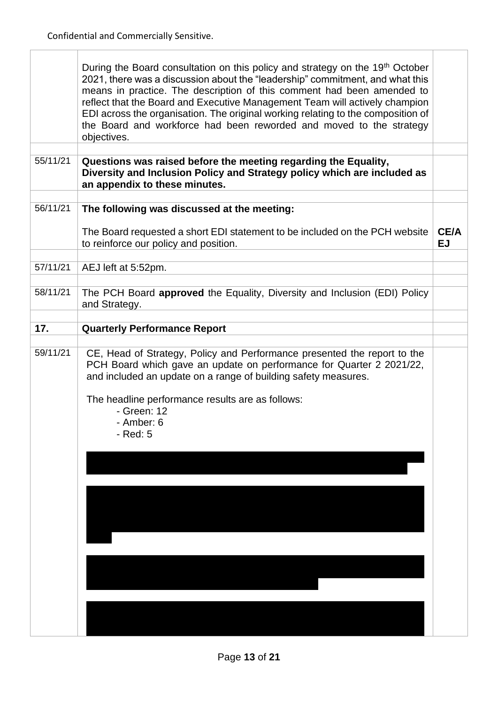$\overline{1}$ 

|          | During the Board consultation on this policy and strategy on the 19 <sup>th</sup> October<br>2021, there was a discussion about the "leadership" commitment, and what this<br>means in practice. The description of this comment had been amended to<br>reflect that the Board and Executive Management Team will actively champion<br>EDI across the organisation. The original working relating to the composition of<br>the Board and workforce had been reworded and moved to the strategy<br>objectives. |                          |
|----------|---------------------------------------------------------------------------------------------------------------------------------------------------------------------------------------------------------------------------------------------------------------------------------------------------------------------------------------------------------------------------------------------------------------------------------------------------------------------------------------------------------------|--------------------------|
|          |                                                                                                                                                                                                                                                                                                                                                                                                                                                                                                               |                          |
| 55/11/21 | Questions was raised before the meeting regarding the Equality,<br>Diversity and Inclusion Policy and Strategy policy which are included as<br>an appendix to these minutes.                                                                                                                                                                                                                                                                                                                                  |                          |
|          |                                                                                                                                                                                                                                                                                                                                                                                                                                                                                                               |                          |
| 56/11/21 | The following was discussed at the meeting:                                                                                                                                                                                                                                                                                                                                                                                                                                                                   |                          |
|          | The Board requested a short EDI statement to be included on the PCH website<br>to reinforce our policy and position.                                                                                                                                                                                                                                                                                                                                                                                          | <b>CE/A</b><br><b>EJ</b> |
| 57/11/21 |                                                                                                                                                                                                                                                                                                                                                                                                                                                                                                               |                          |
|          | AEJ left at 5:52pm.                                                                                                                                                                                                                                                                                                                                                                                                                                                                                           |                          |
| 58/11/21 | The PCH Board approved the Equality, Diversity and Inclusion (EDI) Policy<br>and Strategy.                                                                                                                                                                                                                                                                                                                                                                                                                    |                          |
|          |                                                                                                                                                                                                                                                                                                                                                                                                                                                                                                               |                          |
| 17.      | <b>Quarterly Performance Report</b>                                                                                                                                                                                                                                                                                                                                                                                                                                                                           |                          |
|          |                                                                                                                                                                                                                                                                                                                                                                                                                                                                                                               |                          |
| 59/11/21 | CE, Head of Strategy, Policy and Performance presented the report to the<br>PCH Board which gave an update on performance for Quarter 2 2021/22,<br>and included an update on a range of building safety measures.<br>The headline performance results are as follows:<br>- Green: 12<br>- Amber: 6<br>- Red: 5                                                                                                                                                                                               |                          |
|          |                                                                                                                                                                                                                                                                                                                                                                                                                                                                                                               |                          |
|          |                                                                                                                                                                                                                                                                                                                                                                                                                                                                                                               |                          |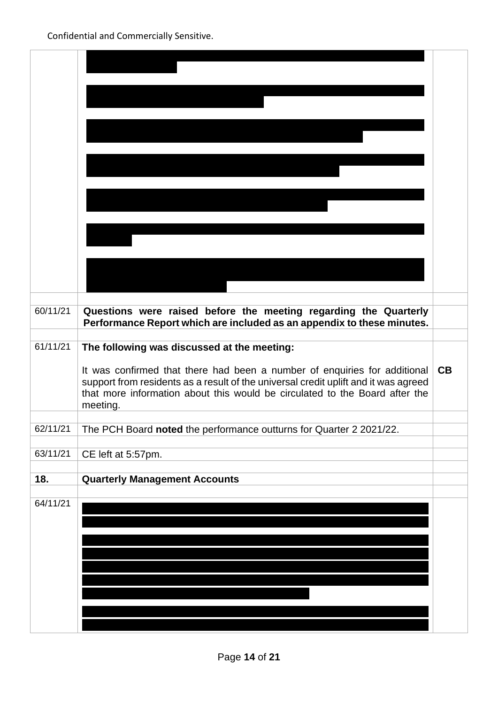| 60/11/21 | Questions were raised before the meeting regarding the Quarterly<br>Performance Report which are included as an appendix to these minutes. |    |
|----------|--------------------------------------------------------------------------------------------------------------------------------------------|----|
|          |                                                                                                                                            |    |
| 61/11/21 | The following was discussed at the meeting:                                                                                                |    |
|          | It was confirmed that there had been a number of enquiries for additional                                                                  | CB |
|          | support from residents as a result of the universal credit uplift and it was agreed                                                        |    |
|          | that more information about this would be circulated to the Board after the                                                                |    |
|          | meeting.                                                                                                                                   |    |
| 62/11/21 | The PCH Board noted the performance outturns for Quarter 2 2021/22.                                                                        |    |
|          |                                                                                                                                            |    |
| 63/11/21 | CE left at 5:57pm.                                                                                                                         |    |
| 18.      | <b>Quarterly Management Accounts</b>                                                                                                       |    |
|          |                                                                                                                                            |    |
| 64/11/21 |                                                                                                                                            |    |
|          |                                                                                                                                            |    |
|          |                                                                                                                                            |    |
|          |                                                                                                                                            |    |
|          |                                                                                                                                            |    |
|          |                                                                                                                                            |    |
|          |                                                                                                                                            |    |
|          |                                                                                                                                            |    |
|          |                                                                                                                                            |    |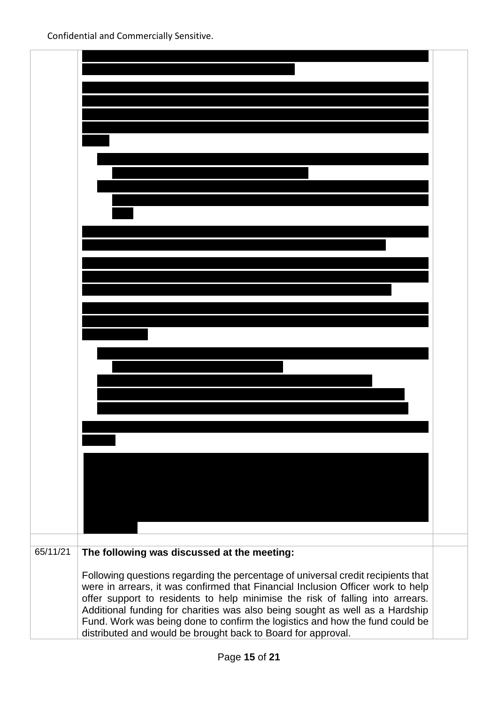| 65/11/21 | The following was discussed at the meeting:                                                                                                                      |  |
|----------|------------------------------------------------------------------------------------------------------------------------------------------------------------------|--|
|          |                                                                                                                                                                  |  |
|          | Following questions regarding the percentage of universal credit recipients that                                                                                 |  |
|          | were in arrears, it was confirmed that Financial Inclusion Officer work to help<br>offer support to residents to help minimise the risk of falling into arrears. |  |
|          | Additional funding for charities was also being sought as well as a Hardship                                                                                     |  |
|          | Fund. Work was being done to confirm the logistics and how the fund could be                                                                                     |  |
|          | distributed and would be brought back to Board for approval.                                                                                                     |  |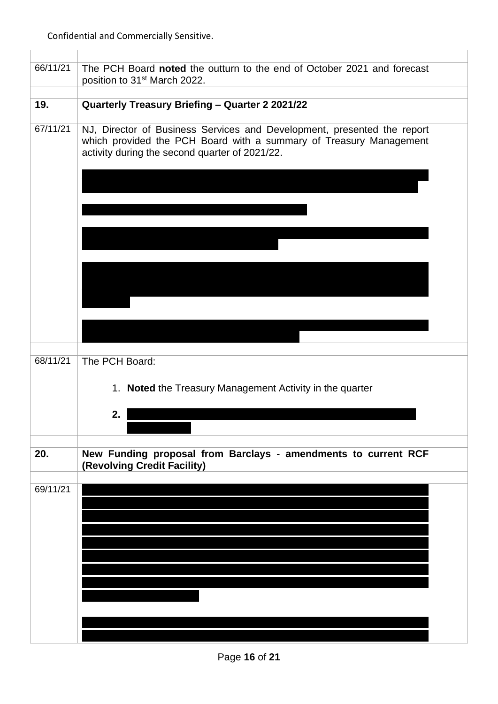| 66/11/21 | The PCH Board noted the outturn to the end of October 2021 and forecast<br>position to 31 <sup>st</sup> March 2022.                                                                             |  |
|----------|-------------------------------------------------------------------------------------------------------------------------------------------------------------------------------------------------|--|
|          |                                                                                                                                                                                                 |  |
| 19.      | Quarterly Treasury Briefing - Quarter 2 2021/22                                                                                                                                                 |  |
|          |                                                                                                                                                                                                 |  |
| 67/11/21 | NJ, Director of Business Services and Development, presented the report<br>which provided the PCH Board with a summary of Treasury Management<br>activity during the second quarter of 2021/22. |  |
|          |                                                                                                                                                                                                 |  |
|          |                                                                                                                                                                                                 |  |
|          |                                                                                                                                                                                                 |  |
|          |                                                                                                                                                                                                 |  |
| 68/11/21 | The PCH Board:<br>Noted the Treasury Management Activity in the quarter<br>1.<br>2.                                                                                                             |  |
|          |                                                                                                                                                                                                 |  |
| 20.      | New Funding proposal from Barclays - amendments to current RCF<br>(Revolving Credit Facility)                                                                                                   |  |
| 69/11/21 |                                                                                                                                                                                                 |  |
|          |                                                                                                                                                                                                 |  |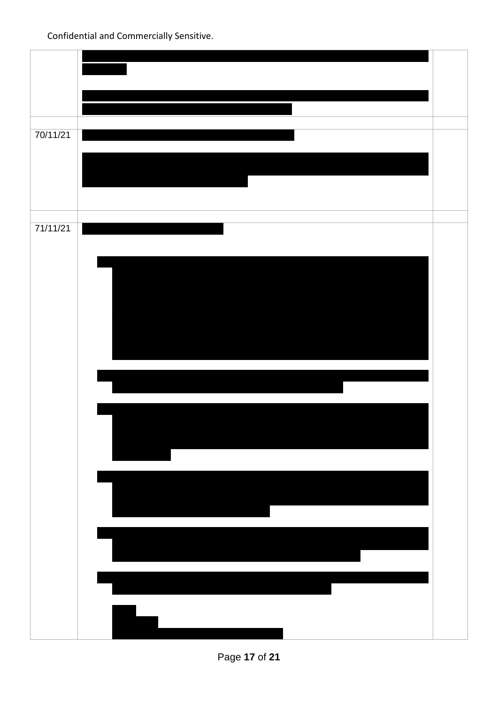| 70/11/21 |  |
|----------|--|
|          |  |
|          |  |
|          |  |
|          |  |
|          |  |
|          |  |
|          |  |
| 71/11/21 |  |
|          |  |
|          |  |
|          |  |
|          |  |
|          |  |
|          |  |
|          |  |
|          |  |
|          |  |
|          |  |
|          |  |
|          |  |
|          |  |
|          |  |
|          |  |
|          |  |
|          |  |
|          |  |
|          |  |
|          |  |
|          |  |
|          |  |
|          |  |
|          |  |
|          |  |
|          |  |
|          |  |
|          |  |
|          |  |
|          |  |
|          |  |
|          |  |
|          |  |
|          |  |
|          |  |

Page **17** of **21**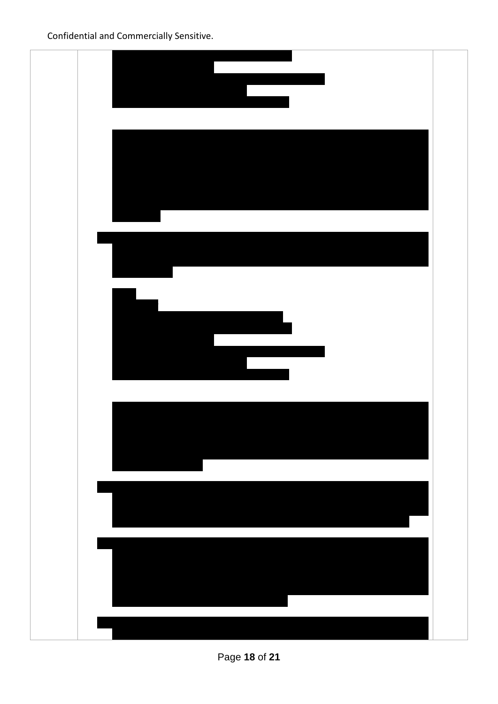

Page **18** of **21**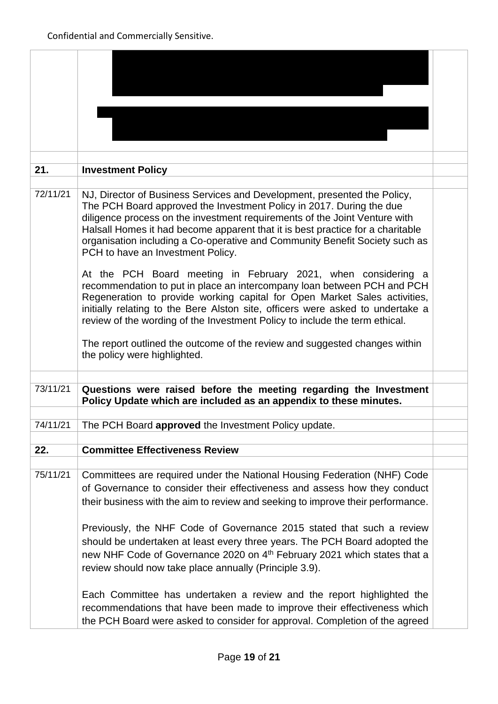| 21.      | <b>Investment Policy</b>                                                                                                                                                                                                                                                                                                                                                                                                             |  |
|----------|--------------------------------------------------------------------------------------------------------------------------------------------------------------------------------------------------------------------------------------------------------------------------------------------------------------------------------------------------------------------------------------------------------------------------------------|--|
|          |                                                                                                                                                                                                                                                                                                                                                                                                                                      |  |
| 72/11/21 | NJ, Director of Business Services and Development, presented the Policy,<br>The PCH Board approved the Investment Policy in 2017. During the due<br>diligence process on the investment requirements of the Joint Venture with<br>Halsall Homes it had become apparent that it is best practice for a charitable<br>organisation including a Co-operative and Community Benefit Society such as<br>PCH to have an Investment Policy. |  |
|          | At the PCH Board meeting in February 2021, when considering a<br>recommendation to put in place an intercompany loan between PCH and PCH<br>Regeneration to provide working capital for Open Market Sales activities,<br>initially relating to the Bere Alston site, officers were asked to undertake a<br>review of the wording of the Investment Policy to include the term ethical.                                               |  |
|          | The report outlined the outcome of the review and suggested changes within<br>the policy were highlighted.                                                                                                                                                                                                                                                                                                                           |  |
| 73/11/21 | Questions were raised before the meeting regarding the Investment<br>Policy Update which are included as an appendix to these minutes.                                                                                                                                                                                                                                                                                               |  |
| 74/11/21 | The PCH Board approved the Investment Policy update.                                                                                                                                                                                                                                                                                                                                                                                 |  |
|          |                                                                                                                                                                                                                                                                                                                                                                                                                                      |  |
| 22.      | <b>Committee Effectiveness Review</b>                                                                                                                                                                                                                                                                                                                                                                                                |  |
| 75/11/21 | Committees are required under the National Housing Federation (NHF) Code<br>of Governance to consider their effectiveness and assess how they conduct<br>their business with the aim to review and seeking to improve their performance.                                                                                                                                                                                             |  |
|          | Previously, the NHF Code of Governance 2015 stated that such a review<br>should be undertaken at least every three years. The PCH Board adopted the<br>new NHF Code of Governance 2020 on 4 <sup>th</sup> February 2021 which states that a<br>review should now take place annually (Principle 3.9).                                                                                                                                |  |
|          | Each Committee has undertaken a review and the report highlighted the<br>recommendations that have been made to improve their effectiveness which<br>the PCH Board were asked to consider for approval. Completion of the agreed                                                                                                                                                                                                     |  |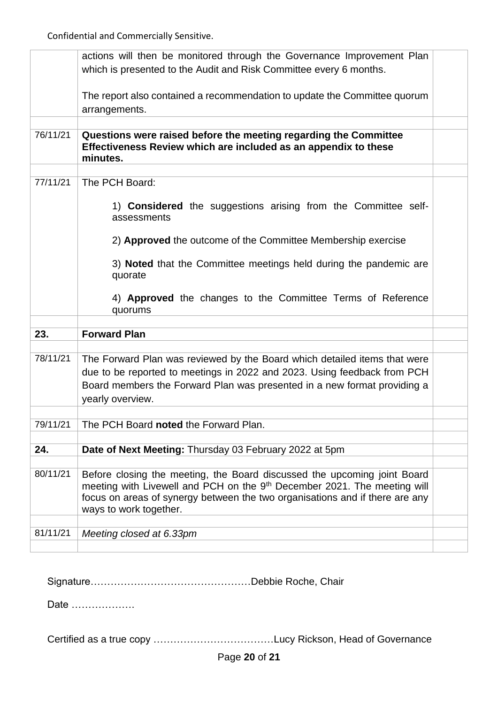|          | actions will then be monitored through the Governance Improvement Plan<br>which is presented to the Audit and Risk Committee every 6 months.                                                   |  |
|----------|------------------------------------------------------------------------------------------------------------------------------------------------------------------------------------------------|--|
|          | The report also contained a recommendation to update the Committee quorum<br>arrangements.                                                                                                     |  |
|          |                                                                                                                                                                                                |  |
| 76/11/21 | Questions were raised before the meeting regarding the Committee<br>Effectiveness Review which are included as an appendix to these<br>minutes.                                                |  |
|          |                                                                                                                                                                                                |  |
| 77/11/21 | The PCH Board:                                                                                                                                                                                 |  |
|          | 1) <b>Considered</b> the suggestions arising from the Committee self-<br>assessments                                                                                                           |  |
|          | 2) Approved the outcome of the Committee Membership exercise                                                                                                                                   |  |
|          | 3) Noted that the Committee meetings held during the pandemic are<br>quorate                                                                                                                   |  |
|          | 4) Approved the changes to the Committee Terms of Reference<br>quorums                                                                                                                         |  |
|          |                                                                                                                                                                                                |  |
| 23.      | <b>Forward Plan</b>                                                                                                                                                                            |  |
|          |                                                                                                                                                                                                |  |
| 78/11/21 | The Forward Plan was reviewed by the Board which detailed items that were                                                                                                                      |  |
|          | due to be reported to meetings in 2022 and 2023. Using feedback from PCH                                                                                                                       |  |
|          | Board members the Forward Plan was presented in a new format providing a<br>yearly overview.                                                                                                   |  |
|          |                                                                                                                                                                                                |  |
| 79/11/21 | The PCH Board noted the Forward Plan.                                                                                                                                                          |  |
|          |                                                                                                                                                                                                |  |
| 24.      | Date of Next Meeting: Thursday 03 February 2022 at 5pm                                                                                                                                         |  |
|          |                                                                                                                                                                                                |  |
| 80/11/21 | Before closing the meeting, the Board discussed the upcoming joint Board                                                                                                                       |  |
|          | meeting with Livewell and PCH on the 9 <sup>th</sup> December 2021. The meeting will<br>focus on areas of synergy between the two organisations and if there are any<br>ways to work together. |  |
|          |                                                                                                                                                                                                |  |
| 81/11/21 | Meeting closed at 6.33pm                                                                                                                                                                       |  |
|          |                                                                                                                                                                                                |  |

Signature…………………………………………Debbie Roche, Chair

Date ……………….

Certified as a true copy ………………………………Lucy Rickson, Head of Governance